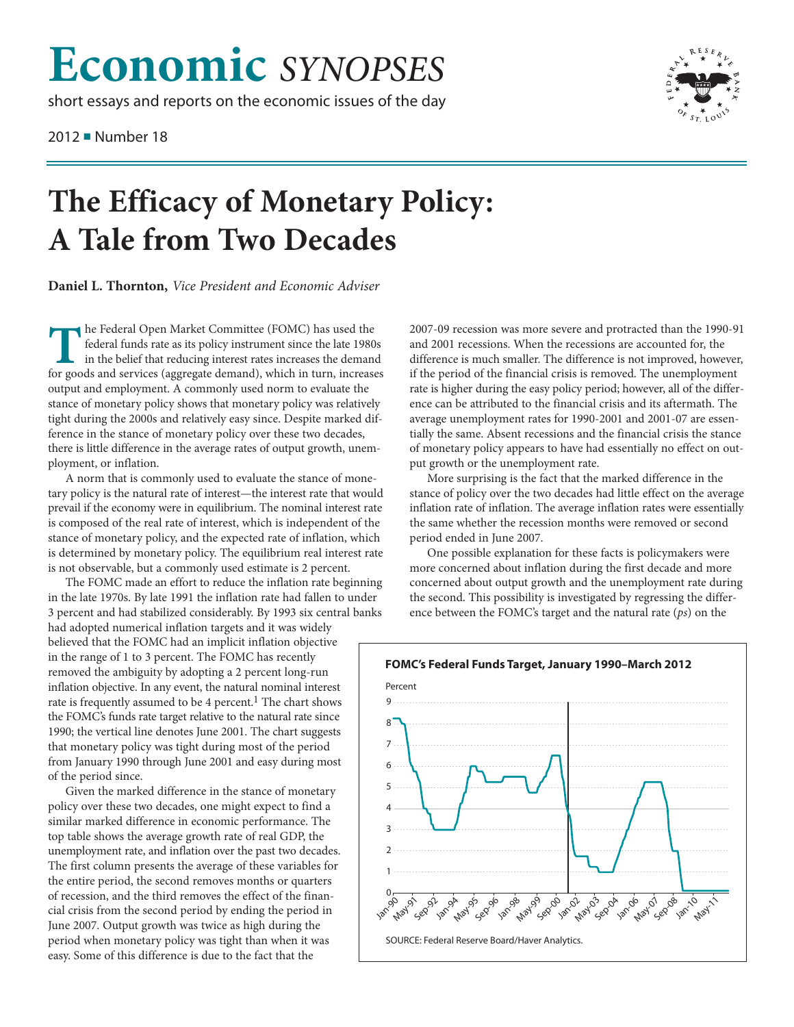## **Economic** *SYNOPSES*

short essays and reports on the economic issues of the day

2012 ■ Number 18



## **The Efficacy of Monetary Policy: A Tale from Two Decades**

**Daniel L. Thornton,** *Vice President and Economic Adviser*

**The Federal Open Market Committee (FOMC) has used the** federal funds rate as its policy instrument since the late 1980s in the belief that reducing interest rates increases the demand for goods and services (aggregate demand), which in turn, increases output and employment. A commonly used norm to evaluate the stance of monetary policy shows that monetary policy was relatively tight during the 2000s and relatively easy since. Despite marked difference in the stance of monetary policy over these two decades, there is little difference in the average rates of output growth, unemployment, or inflation.

A norm that is commonly used to evaluate the stance of monetary policy is the natural rate of interest—the interest rate that would prevail if the economy were in equilibrium. The nominal interest rate is composed of the real rate of interest, which is independent of the stance of monetary policy, and the expected rate of inflation, which is determined by monetary policy. The equilibrium real interest rate is not observable, but a commonly used estimate is 2 percent.

The FOMC made an effort to reduce the inflation rate beginning in the late 1970s. By late 1991 the inflation rate had fallen to under 3 percent and had stabilized considerably. By 1993 six central banks had adopted numerical inflation targets and it was widely believed that the FOMC had an implicit inflation objective in the range of 1 to 3 percent. The FOMC has recently removed the ambiguity by adopting a 2 percent long-run inflation objective. In any event, the natural nominal interest rate is frequently assumed to be 4 percent.<sup>1</sup> The chart shows the FOMC's funds rate target relative to the natural rate since 1990; the vertical line denotes June 2001. The chart suggests that monetary policy was tight during most of the period from January 1990 through June 2001 and easy during most of the period since.

Given the marked difference in the stance of monetary policy over these two decades, one might expect to find a similar marked difference in economic performance. The top table shows the average growth rate of real GDP, the unemployment rate, and inflation over the past two decades. The first column presents the average of these variables for the entire period, the second removes months or quarters of recession, and the third removes the effect of the financial crisis from the second period by ending the period in June 2007. Output growth was twice as high during the period when monetary policy was tight than when it was easy. Some of this difference is due to the fact that the

2007-09 recession was more severe and protracted than the 1990-91 and 2001 recessions. When the recessions are accounted for, the difference is much smaller. The difference is not improved, however, if the period of the financial crisis is removed. The unemployment rate is higher during the easy policy period; however, all of the difference can be attributed to the financial crisis and its aftermath. The average unemployment rates for 1990-2001 and 2001-07 are essentially the same. Absent recessions and the financial crisis the stance of monetary policy appears to have had essentially no effect on output growth or the unemployment rate.

More surprising is the fact that the marked difference in the stance of policy over the two decades had little effect on the average inflation rate of inflation. The average inflation rates were essentially the same whether the recession months were removed or second period ended in June 2007.

One possible explanation for these facts is policymakers were more concerned about inflation during the first decade and more concerned about output growth and the unemployment rate during the second. This possibility is investigated by regressing the difference between the FOMC's target and the natural rate (*ps*) on the